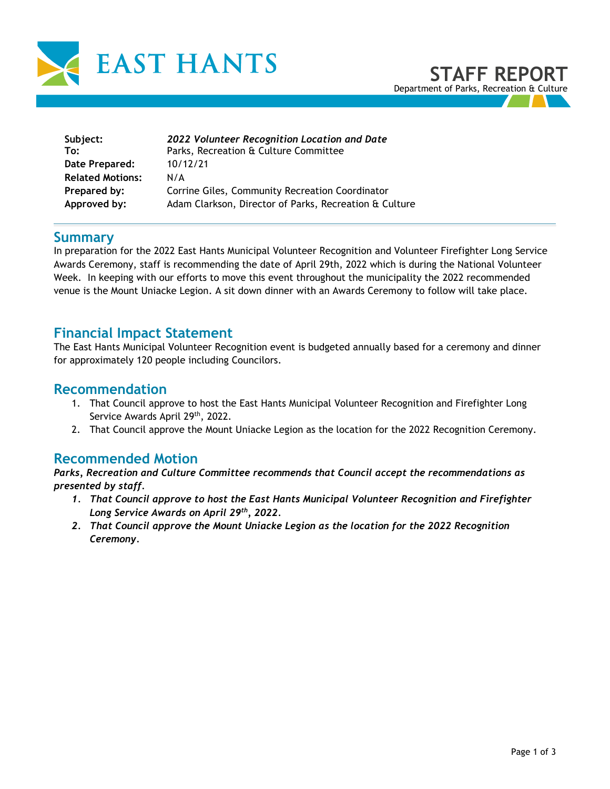

| Subject:                | 2022 Volunteer Recognition Location and Date           |
|-------------------------|--------------------------------------------------------|
| To:                     | Parks, Recreation & Culture Committee                  |
| Date Prepared:          | 10/12/21                                               |
| <b>Related Motions:</b> | N/A                                                    |
| Prepared by:            | Corrine Giles, Community Recreation Coordinator        |
| Approved by:            | Adam Clarkson, Director of Parks, Recreation & Culture |

### **Summary**

In preparation for the 2022 East Hants Municipal Volunteer Recognition and Volunteer Firefighter Long Service Awards Ceremony, staff is recommending the date of April 29th, 2022 which is during the National Volunteer Week. In keeping with our efforts to move this event throughout the municipality the 2022 recommended venue is the Mount Uniacke Legion. A sit down dinner with an Awards Ceremony to follow will take place.

### **Financial Impact Statement**

The East Hants Municipal Volunteer Recognition event is budgeted annually based for a ceremony and dinner for approximately 120 people including Councilors.

## **Recommendation**

- 1. That Council approve to host the East Hants Municipal Volunteer Recognition and Firefighter Long Service Awards April 29<sup>th</sup>, 2022.
- 2. That Council approve the Mount Uniacke Legion as the location for the 2022 Recognition Ceremony.

# **Recommended Motion**

*Parks, Recreation and Culture Committee recommends that Council accept the recommendations as presented by staff.*

- *1. That Council approve to host the East Hants Municipal Volunteer Recognition and Firefighter Long Service Awards on April 29 th, 2022.*
- *2. That Council approve the Mount Uniacke Legion as the location for the 2022 Recognition Ceremony.*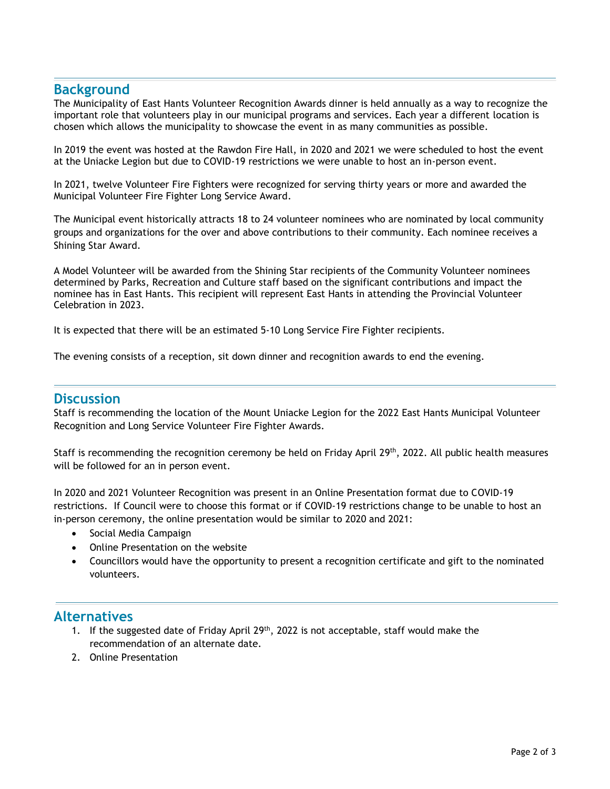### **Background**

The Municipality of East Hants Volunteer Recognition Awards dinner is held annually as a way to recognize the important role that volunteers play in our municipal programs and services. Each year a different location is chosen which allows the municipality to showcase the event in as many communities as possible.

In 2019 the event was hosted at the Rawdon Fire Hall, in 2020 and 2021 we were scheduled to host the event at the Uniacke Legion but due to COVID-19 restrictions we were unable to host an in-person event.

In 2021, twelve Volunteer Fire Fighters were recognized for serving thirty years or more and awarded the Municipal Volunteer Fire Fighter Long Service Award.

The Municipal event historically attracts 18 to 24 volunteer nominees who are nominated by local community groups and organizations for the over and above contributions to their community. Each nominee receives a Shining Star Award.

A Model Volunteer will be awarded from the Shining Star recipients of the Community Volunteer nominees determined by Parks, Recreation and Culture staff based on the significant contributions and impact the nominee has in East Hants. This recipient will represent East Hants in attending the Provincial Volunteer Celebration in 2023.

It is expected that there will be an estimated 5-10 Long Service Fire Fighter recipients.

The evening consists of a reception, sit down dinner and recognition awards to end the evening.

#### **Discussion**

Staff is recommending the location of the Mount Uniacke Legion for the 2022 East Hants Municipal Volunteer Recognition and Long Service Volunteer Fire Fighter Awards.

Staff is recommending the recognition ceremony be held on Friday April 29<sup>th</sup>, 2022. All public health measures will be followed for an in person event.

In 2020 and 2021 Volunteer Recognition was present in an Online Presentation format due to COVID-19 restrictions. If Council were to choose this format or if COVID-19 restrictions change to be unable to host an in-person ceremony, the online presentation would be similar to 2020 and 2021:

- Social Media Campaign
- Online Presentation on the website
- Councillors would have the opportunity to present a recognition certificate and gift to the nominated volunteers.

#### **Alternatives**

- 1. If the suggested date of Friday April  $29<sup>th</sup>$ , 2022 is not acceptable, staff would make the recommendation of an alternate date.
- 2. Online Presentation